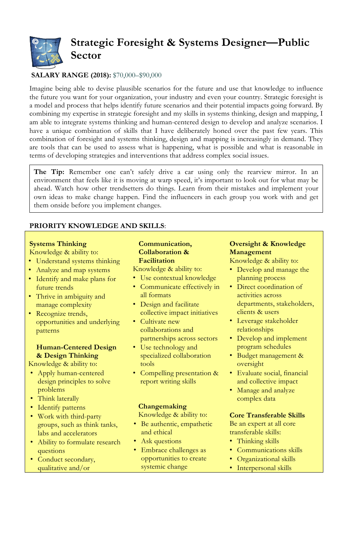

# **SALARY RANGE (2018):** \$70,000–\$90,000

Imagine being able to devise plausible scenarios for the future and use that knowledge to influence the future you want for your organization, your industry and even your country. Strategic foresight is a model and process that helps identify future scenarios and their potential impacts going forward. By combining my expertise in strategic foresight and my skills in systems thinking, design and mapping, I am able to integrate systems thinking and human-centered design to develop and analyze scenarios. I have a unique combination of skills that I have deliberately honed over the past few years. This combination of foresight and systems thinking, design and mapping is increasingly in demand. They are tools that can be used to assess what is happening, what is possible and what is reasonable in terms of developing strategies and interventions that address complex social issues.

The Tip: Remember one can't safely drive a car using only the rearview mirror. In an environment that feels like it is moving at warp speed, it's important to look out for what may be ahead. Watch how other trendsetters do things. Learn from their mistakes and implement your own ideas to make change happen. Find the influencers in each group you work with and get them onside before you implement changes.

### **PRIORITY KNOWLEDGE AND SKILLS**:

### **Systems Thinking**

### Knowledge & ability to:

- Understand systems thinking
- Analyze and map systems
- Identify and make plans for future trends
- Thrive in ambiguity and manage complexity
- Recognize trends, opportunities and underlying patterns

# **Human-Centered Design & Design Thinking**

Knowledge & ability to:

- Apply human-centered design principles to solve problems
- Think laterally
- Identify patterns
- Work with third-party groups, such as think tanks, labs and accelerators
- Ability to formulate research questions
- Conduct secondary, qualitative and/or

#### **Communication, Collaboration & Facilitation**

Knowledge & ability to:

- Use contextual knowledge • Communicate effectively in
- all formats
- Design and facilitate collective impact initiatives
- Cultivate new collaborations and partnerships across sectors
- Use technology and specialized collaboration tools
- Compelling presentation & report writing skills

## **Changemaking**

Knowledge & ability to:

- Be authentic, empathetic and ethical
- Ask questions
- Embrace challenges as opportunities to create systemic change

## **Oversight & Knowledge Management**

Knowledge & ability to:

- Develop and manage the planning process
- Direct coordination of activities across departments, stakeholders, clients & users
- Leverage stakeholder relationships
- Develop and implement program schedules
- Budget management & oversight
- Evaluate social, financial and collective impact
- Manage and analyze complex data

### **Core Transferable Skills**

Be an expert at all core transferable skills:

- Thinking skills
- Communications skills
- Organizational skills
- Interpersonal skills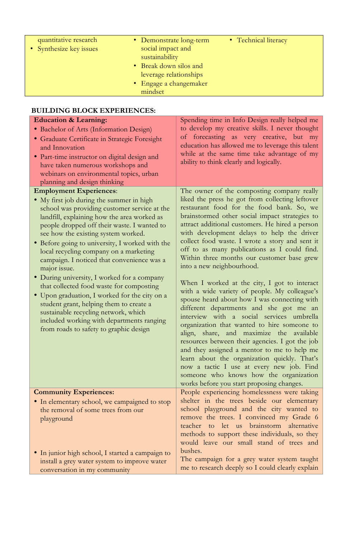| quantitative research<br>• Synthesize key issues | • Demonstrate long-term<br>social impact and<br>sustainability<br>• Break down silos and<br>leverage relationships<br>• Engage a changemaker | • Technical literacy |  |
|--------------------------------------------------|----------------------------------------------------------------------------------------------------------------------------------------------|----------------------|--|
|                                                  | mindset                                                                                                                                      |                      |  |

# **BUILDING BLOCK EXPERIENCES:**

| <b>Education &amp; Learning:</b>                                                                                                                                                                                                                                                                                                                                                                                                                                                                                                                                                | Spending time in Info Design really helped me                                                                                                                                                                                                                                                                                                                                                                                                                                                                                                                                  |
|---------------------------------------------------------------------------------------------------------------------------------------------------------------------------------------------------------------------------------------------------------------------------------------------------------------------------------------------------------------------------------------------------------------------------------------------------------------------------------------------------------------------------------------------------------------------------------|--------------------------------------------------------------------------------------------------------------------------------------------------------------------------------------------------------------------------------------------------------------------------------------------------------------------------------------------------------------------------------------------------------------------------------------------------------------------------------------------------------------------------------------------------------------------------------|
| · Bachelor of Arts (Information Design)                                                                                                                                                                                                                                                                                                                                                                                                                                                                                                                                         | to develop my creative skills. I never thought                                                                                                                                                                                                                                                                                                                                                                                                                                                                                                                                 |
| · Graduate Certificate in Strategic Foresight                                                                                                                                                                                                                                                                                                                                                                                                                                                                                                                                   | of forecasting as very creative, but my                                                                                                                                                                                                                                                                                                                                                                                                                                                                                                                                        |
| and Innovation                                                                                                                                                                                                                                                                                                                                                                                                                                                                                                                                                                  | education has allowed me to leverage this talent                                                                                                                                                                                                                                                                                                                                                                                                                                                                                                                               |
| · Part-time instructor on digital design and                                                                                                                                                                                                                                                                                                                                                                                                                                                                                                                                    | while at the same time take advantage of my                                                                                                                                                                                                                                                                                                                                                                                                                                                                                                                                    |
| have taken numerous workshops and                                                                                                                                                                                                                                                                                                                                                                                                                                                                                                                                               | ability to think clearly and logically.                                                                                                                                                                                                                                                                                                                                                                                                                                                                                                                                        |
| webinars on environmental topics, urban                                                                                                                                                                                                                                                                                                                                                                                                                                                                                                                                         |                                                                                                                                                                                                                                                                                                                                                                                                                                                                                                                                                                                |
| planning and design thinking                                                                                                                                                                                                                                                                                                                                                                                                                                                                                                                                                    |                                                                                                                                                                                                                                                                                                                                                                                                                                                                                                                                                                                |
| <b>Employment Experiences:</b>                                                                                                                                                                                                                                                                                                                                                                                                                                                                                                                                                  | The owner of the composting company really                                                                                                                                                                                                                                                                                                                                                                                                                                                                                                                                     |
| • My first job during the summer in high<br>school was providing customer service at the<br>landfill, explaining how the area worked as<br>people dropped off their waste. I wanted to<br>see how the existing system worked.<br>· Before going to university, I worked with the<br>local recycling company on a marketing<br>campaign. I noticed that convenience was a<br>major issue.<br>• During university, I worked for a company<br>that collected food waste for composting<br>• Upon graduation, I worked for the city on a<br>student grant, helping them to create a | liked the press he got from collecting leftover<br>restaurant food for the food bank. So, we<br>brainstormed other social impact strategies to<br>attract additional customers. He hired a person<br>with development delays to help the driver<br>collect food waste. I wrote a story and sent it<br>off to as many publications as I could find.<br>Within three months our customer base grew<br>into a new neighbourhood.<br>When I worked at the city, I got to interact<br>with a wide variety of people. My colleague's<br>spouse heard about how I was connecting with |
| sustainable recycling network, which<br>included working with departments ranging<br>from roads to safety to graphic design                                                                                                                                                                                                                                                                                                                                                                                                                                                     | different departments and she got me an<br>interview with a social services umbrella<br>organization that wanted to hire someone to<br>align, share, and maximize the available<br>resources between their agencies. I got the job<br>and they assigned a mentor to me to help me<br>learn about the organization quickly. That's<br>now a tactic I use at every new job. Find<br>someone who knows how the organization<br>works before you start proposing changes.                                                                                                          |
| <b>Community Experiences:</b>                                                                                                                                                                                                                                                                                                                                                                                                                                                                                                                                                   | People experiencing homelessness were taking                                                                                                                                                                                                                                                                                                                                                                                                                                                                                                                                   |
| • In elementary school, we campaigned to stop                                                                                                                                                                                                                                                                                                                                                                                                                                                                                                                                   | shelter in the trees beside our elementary                                                                                                                                                                                                                                                                                                                                                                                                                                                                                                                                     |
| the removal of some trees from our<br>playground                                                                                                                                                                                                                                                                                                                                                                                                                                                                                                                                | school playground and the city wanted to<br>remove the trees. I convinced my Grade 6<br>teacher to let us brainstorm alternative<br>methods to support these individuals, so they<br>would leave our small stand of trees and                                                                                                                                                                                                                                                                                                                                                  |
| • In junior high school, I started a campaign to                                                                                                                                                                                                                                                                                                                                                                                                                                                                                                                                | bushes.<br>The campaign for a grey water system taught                                                                                                                                                                                                                                                                                                                                                                                                                                                                                                                         |
| install a grey water system to improve water<br>conversation in my community                                                                                                                                                                                                                                                                                                                                                                                                                                                                                                    | me to research deeply so I could clearly explain                                                                                                                                                                                                                                                                                                                                                                                                                                                                                                                               |